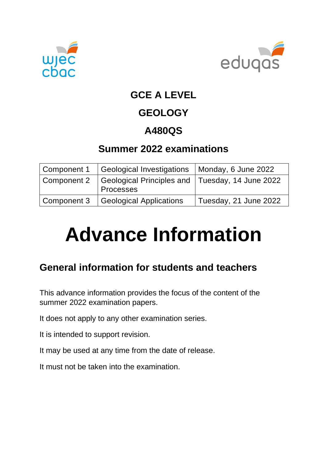



### **GCE A LEVEL**

## **GEOLOGY**

## **A480QS**

## **Summer 2022 examinations**

|             | Component 1 Geological Investigations   Monday, 6 June 2022  |                       |
|-------------|--------------------------------------------------------------|-----------------------|
| Component 2 | Geological Principles and Tuesday, 14 June 2022<br>Processes |                       |
|             | Component 3   Geological Applications                        | Tuesday, 21 June 2022 |

# **Advance Information**

## **General information for students and teachers**

This advance information provides the focus of the content of the summer 2022 examination papers.

It does not apply to any other examination series.

It is intended to support revision.

It may be used at any time from the date of release.

It must not be taken into the examination.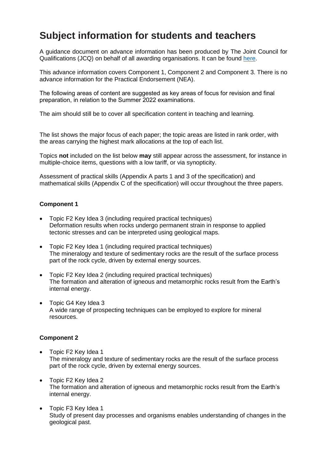#### **Subject information for students and teachers**

A guidance document on advance information has been produced by The Joint Council for Qualifications (JCQ) on behalf of all awarding organisations. It can be found [here.](https://www.jcq.org.uk/wp-content/uploads/2021/10/Advance-Information-for-General-Qualifications-2021-22.pdf)

This advance information covers Component 1, Component 2 and Component 3. There is no advance information for the Practical Endorsement (NEA).

The following areas of content are suggested as key areas of focus for revision and final preparation, in relation to the Summer 2022 examinations.

The aim should still be to cover all specification content in teaching and learning.

The list shows the major focus of each paper; the topic areas are listed in rank order, with the areas carrying the highest mark allocations at the top of each list.

Topics **not** included on the list below **may** still appear across the assessment, for instance in multiple-choice items, questions with a low tariff, or via synopticity.

Assessment of practical skills (Appendix A parts 1 and 3 of the specification) and mathematical skills (Appendix C of the specification) will occur throughout the three papers.

#### **Component 1**

- Topic F2 Key Idea 3 (including required practical techniques) Deformation results when rocks undergo permanent strain in response to applied tectonic stresses and can be interpreted using geological maps.
- Topic F2 Key Idea 1 (including required practical techniques) The mineralogy and texture of sedimentary rocks are the result of the surface process part of the rock cycle, driven by external energy sources.
- Topic F2 Key Idea 2 (including required practical techniques) The formation and alteration of igneous and metamorphic rocks result from the Earth's internal energy.
- Topic G4 Key Idea 3 A wide range of prospecting techniques can be employed to explore for mineral resources.

#### **Component 2**

- Topic F2 Key Idea 1 The mineralogy and texture of sedimentary rocks are the result of the surface process part of the rock cycle, driven by external energy sources.
- Topic F2 Key Idea 2 The formation and alteration of igneous and metamorphic rocks result from the Earth's internal energy.
- Topic F3 Key Idea 1 Study of present day processes and organisms enables understanding of changes in the geological past.